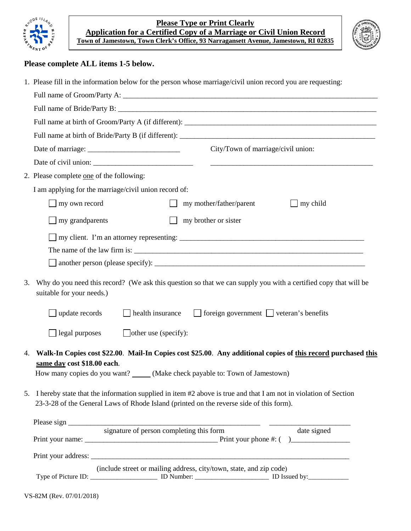



## **Please complete ALL items 1-5 below.**

|    | 1. Please fill in the information below for the person whose marriage/civil union record you are requesting:                                                                                                                  |  |  |  |  |  |
|----|-------------------------------------------------------------------------------------------------------------------------------------------------------------------------------------------------------------------------------|--|--|--|--|--|
|    |                                                                                                                                                                                                                               |  |  |  |  |  |
|    |                                                                                                                                                                                                                               |  |  |  |  |  |
|    |                                                                                                                                                                                                                               |  |  |  |  |  |
|    |                                                                                                                                                                                                                               |  |  |  |  |  |
|    | City/Town of marriage/civil union:                                                                                                                                                                                            |  |  |  |  |  |
|    |                                                                                                                                                                                                                               |  |  |  |  |  |
|    | 2. Please complete one of the following:                                                                                                                                                                                      |  |  |  |  |  |
|    | I am applying for the marriage/civil union record of:                                                                                                                                                                         |  |  |  |  |  |
|    | my own record<br>my mother/father/parent<br>my child                                                                                                                                                                          |  |  |  |  |  |
|    | my brother or sister<br>my grandparents<br>$\mathbf{I}$                                                                                                                                                                       |  |  |  |  |  |
|    |                                                                                                                                                                                                                               |  |  |  |  |  |
| 3. | Why do you need this record? (We ask this question so that we can supply you with a certified copy that will be<br>suitable for your needs.)                                                                                  |  |  |  |  |  |
|    | $\Box$ foreign government $\Box$ veteran's benefits<br>health insurance<br>$\Box$ update records                                                                                                                              |  |  |  |  |  |
|    | $\Box$ other use (specify):<br>legal purposes                                                                                                                                                                                 |  |  |  |  |  |
| 4. | Walk-In Copies cost \$22.00. Mail-In Copies cost \$25.00. Any additional copies of this record purchased this<br>same day cost \$18.00 each.<br>How many copies do you want? _____ (Make check payable to: Town of Jamestown) |  |  |  |  |  |
|    | 5. I hereby state that the information supplied in item #2 above is true and that I am not in violation of Section<br>23-3-28 of the General Laws of Rhode Island (printed on the reverse side of this form).                 |  |  |  |  |  |
|    | Please sign signature of person completing this form                                                                                                                                                                          |  |  |  |  |  |
|    | date signed                                                                                                                                                                                                                   |  |  |  |  |  |
|    |                                                                                                                                                                                                                               |  |  |  |  |  |
|    | (include street or mailing address, city/town, state, and zip code)                                                                                                                                                           |  |  |  |  |  |